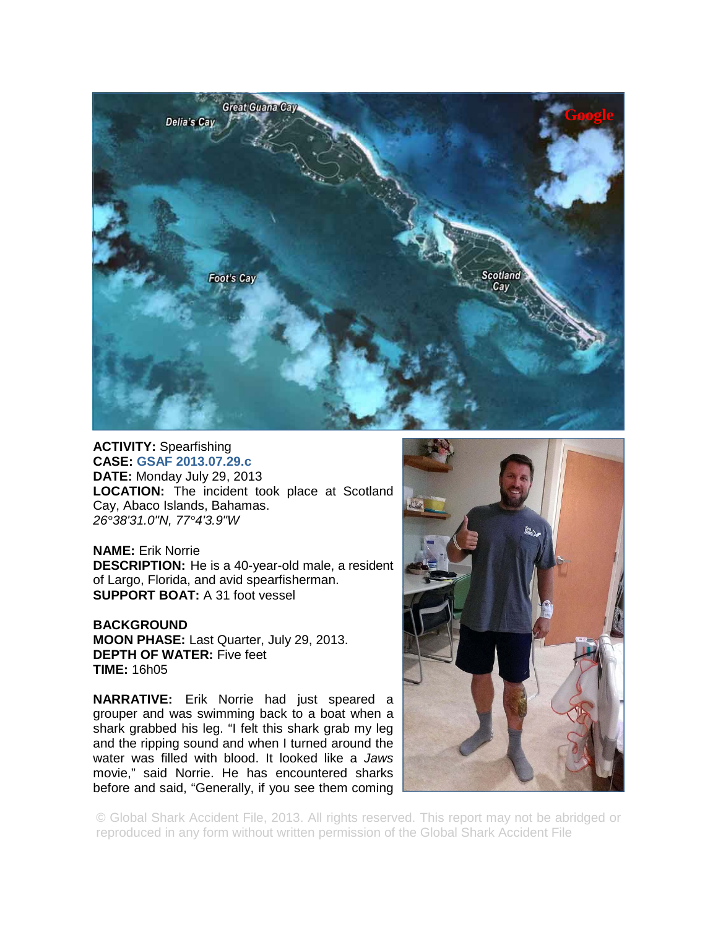

## **ACTIVITY:** Spearfishing **CASE: GSAF 2013.07.29.c DATE:** Monday July 29, 2013 **LOCATION:** The incident took place at Scotland Cay, Abaco Islands, Bahamas. *26°38'31.0"N, 77°4'3.9"W*

**NAME:** Erik Norrie **DESCRIPTION:** He is a 40-year-old male, a resident of Largo, Florida, and avid spearfisherman. **SUPPORT BOAT:** A 31 foot vessel

**BACKGROUND MOON PHASE:** Last Quarter, July 29, 2013. **DEPTH OF WATER:** Five feet **TIME:** 16h05

**NARRATIVE:** Erik Norrie had just speared a grouper and was swimming back to a boat when a shark grabbed his leg. "I felt this shark grab my leg and the ripping sound and when I turned around the water was filled with blood. It looked like a *Jaws* movie," said Norrie. He has encountered sharks before and said, "Generally, if you see them coming



© Global Shark Accident File, 2013. All rights reserved. This report may not be abridged or reproduced in any form without written permission of the Global Shark Accident File